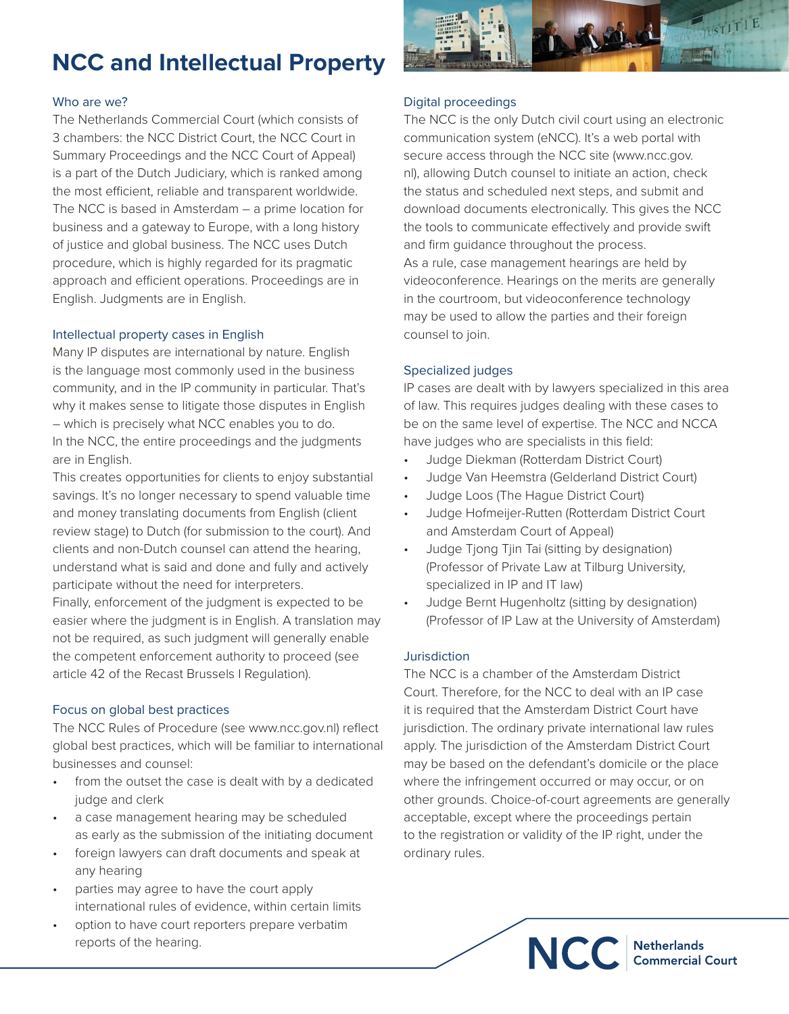# **NCC and Intellectual Property**

#### Who are we?

The Netherlands Commercial Court (which consists of 3 chambers: the NCC District Court, the NCC Court in Summary Proceedings and the NCC Court of Appeal) is a part of the Dutch Judiciary, which is ranked among the most efficient, reliable and transparent worldwide. The NCC is based in Amsterdam – a prime location for business and a gateway to Europe, with a long history of justice and global business. The NCC uses Dutch procedure, which is highly regarded for its pragmatic approach and efficient operations. Proceedings are in English. Judgments are in English.

#### Intellectual property cases in English

Many IP disputes are international by nature. English is the language most commonly used in the business community, and in the IP community in particular. That's why it makes sense to litigate those disputes in English – which is precisely what NCC enables you to do. In the NCC, the entire proceedings and the judgments are in English.

This creates opportunities for clients to enjoy substantial savings. It's no longer necessary to spend valuable time and money translating documents from English (client review stage) to Dutch (for submission to the court). And clients and non-Dutch counsel can attend the hearing, understand what is said and done and fully and actively participate without the need for interpreters. Finally, enforcement of the judgment is expected to be

easier where the judgment is in English. A translation may not be required, as such judgment will generally enable the competent enforcement authority to proceed (see article 42 of the Recast Brussels I Regulation).

### Focus on global best practices

The NCC Rules of Procedure (see www.ncc.gov.nl) reflect global best practices, which will be familiar to international businesses and counsel:

- from the outset the case is dealt with by a dedicated judge and clerk
- a case management hearing may be scheduled as early as the submission of the initiating document
- foreign lawyers can draft documents and speak at any hearing
- parties may agree to have the court apply international rules of evidence, within certain limits
- option to have court reporters prepare verbatim reports of the hearing.



### Digital proceedings

The NCC is the only Dutch civil court using an electronic communication system (eNCC). It's a web portal with secure access through the NCC site (www.ncc.gov. nl), allowing Dutch counsel to initiate an action, check the status and scheduled next steps, and submit and download documents electronically. This gives the NCC the tools to communicate effectively and provide swift and firm guidance throughout the process. As a rule, case management hearings are held by videoconference. Hearings on the merits are generally in the courtroom, but videoconference technology may be used to allow the parties and their foreign counsel to join.

## Specialized judges

IP cases are dealt with by lawyers specialized in this area of law. This requires judges dealing with these cases to be on the same level of expertise. The NCC and NCCA have judges who are specialists in this field:

- Judge Diekman (Rotterdam District Court)
- Judge Van Heemstra (Gelderland District Court)
- Judge Loos (The Hague District Court)
- Judge Hofmeijer-Rutten (Rotterdam District Court and Amsterdam Court of Appeal)
- Judge Tjong Tjin Tai (sitting by designation) (Professor of Private Law at Tilburg University, specialized in IP and IT law)
- Judge Bernt Hugenholtz (sitting by designation) (Professor of IP Law at the University of Amsterdam)

### Jurisdiction

The NCC is a chamber of the Amsterdam District Court. Therefore, for the NCC to deal with an IP case it is required that the Amsterdam District Court have jurisdiction. The ordinary private international law rules apply. The jurisdiction of the Amsterdam District Court may be based on the defendant's domicile or the place where the infringement occurred or may occur, or on other grounds. Choice-of-court agreements are generally acceptable, except where the proceedings pertain to the registration or validity of the IP right, under the ordinary rules.

NCC Netherlands